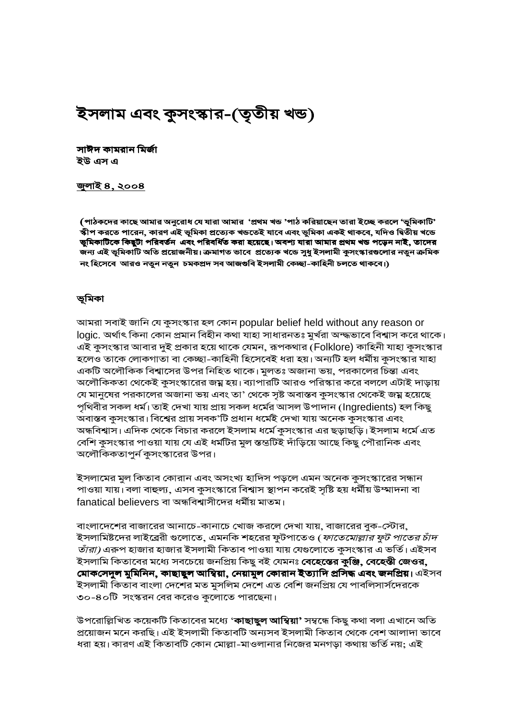# ইসলাম এবং কুসংস্কার-(তৃতীয় খন্ড)

সাঈদ কামরান মির্জা ইউ এস এ

#### <u>জুলাই ৪, ২০০৪</u>

(পাঠকদের কাছে আমার অনুরোধ যে যারা আমার 'প্রথম খন্ড 'পাঠ করিয়াছেন তারা ইচ্ছে করলে 'ভূমিকাটি' স্কীপ করতে পারেন, কারণ এই ভূমিকা প্রত্যেক খন্ডতেই যাবে এবং ভূমিকা একই থাকবে, যদিও দ্বিতীয় খন্ডে ভুমিকাটিকে কিছুটা পরিবর্তন এবং পরিবর্ধিত করা হয়েছে। অবশ্য যারা আমার প্রথম খন্ড পড়েন নাই, তাদের জন্য এই ভূমিকাটি অতি প্ৰয়োজনীয়। ক্ৰমাগত ভাবে প্ৰত্যেক খডে সুধু ইসলামী কুসংস্কারগুলোর নতুন ক্ৰমিক নং হিসেবে আরও নতুন নতুন চমকপ্রদ সব আজগুবি ইসলামী কেচ্ছা-কাহিনী চলতে থাকবে।)

#### ভূমিকা

আমরা সবাই জানি যে কুসংস্কার হল কোন popular belief held without any reason or logic. অর্থাৎ কিনা কোন প্রমান বিহীন কথা যাহা সাধারনতঃ মুর্খরা অন্দ্ধভাবে বিশ্বাস করে থাকে। এই কুসংস্কার আবার দুই প্রকার হয়ে থাকে যেমন, রূপকথার (Folklore) কাহিনী যাহা কুসংস্কার হলেও তাকে লোকগাতা বা কেচ্ছা-কাহিনী হিসেবেই ধরা হয়। অন্যটি হল ধর্মীয় কুসংস্কার যাহা একটি অলৌকিক বিশ্বাসের উপর নিহিত থাকে। মুলতঃ অজানা ভয়, পরকালের চিন্তা এবং অলৌকিকতা থেকেই কুসংস্কারের জম্ন হয়। ব্যাপারটি আরও পরিস্কার করে বললে এটাই দাড়ায় যে মানুষের পরকালের অজানা ভয় এবং তা' থেকে সৃষ্ট অবাস্তব কুসংস্কার থেকেই জম্ন হয়েছে পৃথিবীর সকল ধর্ম। তাই দেখা যায় প্রায় সকল ধর্মের আসল উপাদান (Ingredients) হল কিছু অবাস্তব কুসংস্কার। বিশ্বের প্রায় সবক'টি প্রধান ধর্মেই দেখা যায় অনেক কুসংস্কার এবং অন্ধবিশ্বাস। এদিক থেকে বিচার করলে ইসলাম ধর্মে কুসংস্কার এর ছড়াছড়ি। ইসলাম ধর্মে এত বেশি কুসংস্কার পাওয়া যায় যে এই ধর্মটির মুল স্তন্ডটিই দাঁড়িয়ে আছে কিছু পৌরানিক এবং অলৌকিকতাপুর্ন কুসংস্কারের উপর।

ইসলামের মুল কিতাব কোরান এবং অসংখ্য হাদিস পড়লে এমন অনেক কুসংস্কারের সন্ধান পাওয়া যায়। বলা বাহুল্য, এসব কুসংস্কারে বিশ্বাস স্থাপন করেই সৃষ্টি হয় ধর্মীয় উম্মাদনা বা fanatical believers বা অন্ধবিশ্বাসীদের ধর্মীয় মাতম।

বাংলাদেশের বাজারের আনাচে-কানাচে খোজ করলে দেখা যায়, বাজারের বুক-স্টোর, ইসলামিষ্টদের লাইব্রেরী গুলোতে, এমনকি শহরের ফুটপাতেও (*ফাতেমোল্লার ফুট পাতের চাঁদ তাঁরা)* এরুপ হাজার হাজার ইসলামী কিতাব পাওয়া যায় যেগুলোতে কুসংস্কার এ ভর্তি। এইসব ইসলামি কিতাবের মধ্যে সবচেয়ে জনপ্রিয় কিছু বই যেমনঃ **বেহেস্তের কুঞ্জি, বেহেস্তী জেওর,** মোকসেদুল মুমিনিন, কাছাছুল আম্বিয়া, নেয়ামুল কোরান ইত্যাদি প্রসিদ্ধ এবং জনপ্রিয়। এইসব ইসলামী কিতাব বাংলা দেশের মত মুসলিম দেশে এত বেশি জনপ্রিয় যে পাবলিসার্সদেরকে ৩০-৪০টি সংস্করন বের করেও কুলোতে পারছেনা।

উপরোল্লিখিত কয়েকটি কিতাবের মধ্যে '**কাছাছুল আম্বিয়া'** সম্বন্ধে কিছু কথা বলা এখানে অতি প্রয়োজন মনে করছি। এই ইসলামী কিতাবটি অন্যসব ইসলামী কিতাব থেকে বেশ আলাদা ভাবে ধরা হয়। কারণ এই কিতাবটি কোন মোল্লা-মাওলানার নিজের মনগড়া কথায় ভর্তি নয়; এই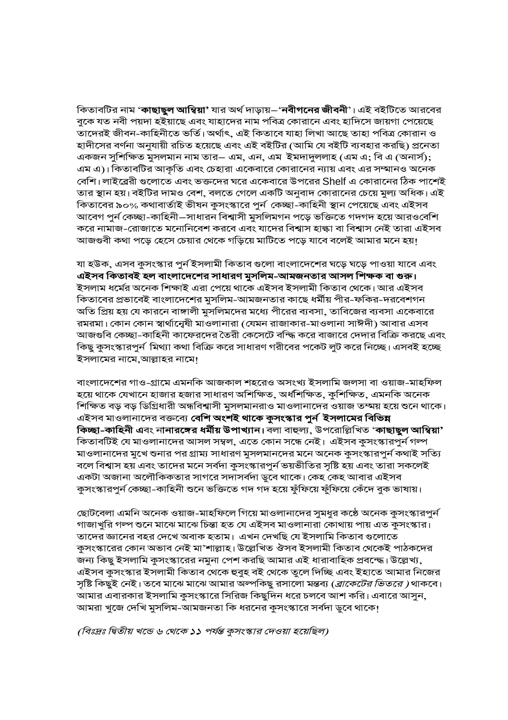কিতাবটির নাম '**কাছাছুল আম্বিয়া'** যার অর্থ দাড়ায়–'**নবীগনের জীবনী**'। এই বইটিতে আরবের বুকে যত নবী পয়দা হইয়াছে এবং যাহাদের নাম পবিত্র কোরানে এবং হাদিসে জায়গা পেয়েছে তাদেরই জীবন-কাহিনীতে ভর্তি। অর্থাৎ, এই কিতাবে যাহা লিখা আছে তাহা পবিত্র কোরান ও হাদীসের বর্ণনা অনুযায়ী রচিত হয়েছে এবং এই বইটির (আমি যে বইটি ব্যবহার করছি) প্রনেতা একজন সুশিক্ষিত মুসলমান নাম তার– এম, এন, এম ইমদাদুললাহ (এম এ; বি এ (অনার্স); এম এ)। কিতাবটির আকৃতি এবং চেহারা একেবারে কোরানের ন্যায় এবং এর সম্মানও অনেক বেশি। লাইব্রেরী গুলোতে এবং ভক্তদের ঘরে একেবারে উপরের Shelf এ কোরানের ঠিক পাশেই তার স্থান হয়। বইটির দামও বেশ, বলতে গেলে একটি অনুবাদ কোরানের চেয়ে মুল্য অধিক। এই কিতাবের ৯০% কথাবার্তাই ভীষন কুসংস্কারে পুর্ন কেচ্ছা-কাহিনী স্থান পেয়েছে এবং এইসব আবেগ পুর্ন কেচ্ছা-কাহিনী–সাধারন বিশ্বাসী মুসলিমগন পড়ে ভক্তিতে গদগদ হয়ে আরওবেশি করে নামাজ-রোজাতে মনোনিবেশ করবে এবং যাদের বিশ্বাস হাল্কা বা বিশ্বাস নেই তারা এইসব আজগুবী কথা পড়ে হেসে চেয়ার থেকে গড়িয়ে মাটিতে পড়ে যাবে বলেই আমার মনে হয়।

যা হউক, এসব কুসংস্কার পুর্ন ইসলামী কিতাব গুলো বাংলাদেশের ঘড়ে ঘড়ে পাওয়া যাবে এবং এইসব কিতাবই হল বাংলাদেশের সাধারণ মুসলিম-আমজনতার আসল শিক্ষক বা গুরু। ইসলাম ধর্মের অনেক শিক্ষাই এরা পেয়ে থাকে এইসব ইসলামী কিতাব থেকে। আর এইসব কিতাবের প্রভাবেই বাংলাদেশের মুসলিম-আমজনতার কাছে ধর্মীয় পীর-ফকির-দরবেশগন অতি প্রিয় হয় যে কারনে বাঙ্গালী মুসলিমদের মধ্যে পীরের ব্যবসা, তাবিজের ব্যবসা একেবারে রমরমা। কোন কোন স্বার্থানেৃষী মাওলানারা (যেমন রাজাকার-মাওলানা সাঈদী) আবার এসব আজগুবি কেচ্ছা-কাহিনী কাফেরদের তৈরী কেসেটে বস্ধি করে বাজারে দেদার বিক্রি করছে এবং কিছু কুসংস্কারপুর্ন মিথ্যা কথা বিক্রি করে সাধারণ গরীবের পকেট লুট করে নিচ্ছে। এসবই হচ্ছে ইসলামের নামে,আল্লাহর নামে!

বাংলাদেশের গাও-গ্রামে এমনকি আজকাল শহরেও অসংখ্য ইসলামি জলসা বা ওয়াজ-মাহফিল হয়ে থাকে যেখানে হাজার হজার সাধারণ অশিক্ষিত, অর্ধশিক্ষিত, কুশিক্ষিত, এমনকি অনেক শিক্ষিত বড় বড় ডিগ্রিধারী অন্ধবিশ্বাসী মুসলমানরাও মাওলানাদের ওয়াজ তম্ময় হয়ে শুনে থাকে। এইসব মাওলানাদের বক্তব্যে **বেশি অংশই থাকে কুসংস্কার পূর্ন ইসলামের বিভিন্ন** কিচ্ছা-কাহিনী এবং নানারঙ্গের ধর্মীয় উপাখ্যান। বলা বাহুল্য, উপরোল্লিখিত 'কাছাছুল আম্বিয়া' কিতাবটিই যে মাওলানাদের আসল সম্বল, এতে কোন সন্ধে নেই। এইসব কুসংস্কারপুর্ন গন্প মাওলানাদের মুখে শুনার পর গ্রাম্য সাধারণ মুসলমানদের মনে অনেক কুসংস্কারপুর্ন কথাই সত্যি বলে বিশ্বাস হয় এবং তাদের মনে সর্বদা কুসংস্কারপুর্ন ভয়ভীতির সৃষ্টি হয় এবং তারা সকলেই একটা অজানা অলৌকিকতার সাগরে সদাসর্বদা ডুবে থাকে। কেহ কেহ আবার এইসব কুসংস্কারপুর্ন কেচ্ছা-কাহিনী শুনে ভক্তিতে গদ গদ হয়ে ফুঁফিয়ে ফুঁফিয়ে কেঁদে বুক ভাষায়।

ছোটবেলা এমনি অনেক ওয়াজ-মাহফিলে গিয়ে মাওলানাদের সুমধুর কঠে অনেক কুসংস্কারপুর্ন গাজাখুরি গল্প শুনে মাঝে মাঝে চিন্তা হত যে এইসব মাওলানারা কোথায় পায় এত কুসংস্কার। তাদের জ্ঞানের বহর দেখে অবাক হতাম। এখন দেখছি যে ইসলামি কিতাব গুলোতে কুসংস্কারের কোন অভাব নেই মা'শাল্লাহ। উল্লেখিত ঔসব ইসলামী কিতাব থেকেই পাঠকদের জন্য কিছু ইসলামি কুসংস্কারের নমুনা পেশ করছি আমার এই ধারাবাহিক প্রবন্দ্ধে। উল্লেখ্য, এইসব কুসংস্কার ইসলামী কিতাব থেকে হুবুহ বই থেকে তুলে দিচ্ছি এবং ইহাতে আমার নিজের সৃষ্টি কিছুই নেই। তবে মাঝে মাঝে আমার অল্পকিছু রসালো মন্তব্য (*ব্রাকেটের ভিতরে )* থাকবে। আমার এবারকার ইসলামি কুসংস্কারে সিরিজ কিছুদিন ধরে চলবে আশ করি। এবারে আসুন, আমরা খুজে দেখি মুসলিম-আমজনতা কি ধরনের কুসংস্কারে সর্বদা ডুবে থাকে!

(বিঃদ্রঃ দ্বিতীয় খন্ডে ৬ থেকে ১১ পর্যন্ত কুসংস্কার দেওয়া হয়েছিল)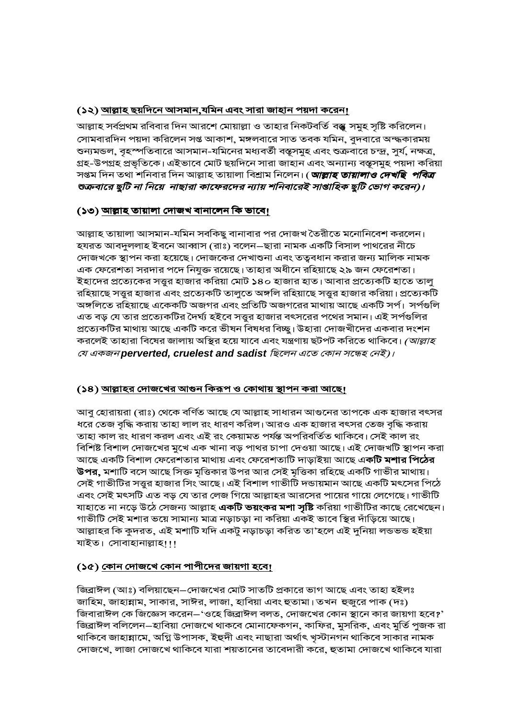#### <u>(১২) আল্লাহ ছয়দিনে আসমান,যমিন এবং সারা জাহান পয়দা করেন!</u>

আল্লাহ সর্বপ্রথম রবিবার দিন আরশে মোয়াল্লা ও তাহার নিকটবর্তি বস্তু সমুহ সৃষ্টি করিলেন। সোমবারদিন পয়দা করিলেন সপ্ত আকাশ, মঙ্গলবারে সাত তবক যমিন, বুদবারে অন্দ্ধকারময় শুন্যমন্ডল, বৃহস্পতিবারে আসমান-যমিনের মধ্যবর্তী বস্তূসমুহ এবং শুক্রবারে চন্দ্র, সুর্য, নক্ষত্র, গ্রহ-উপগ্রহ প্রভৃতিকে। এইভাবে মোট ছয়দিনে সারা জাহান এবং অন্যান্য বস্তূসমুহ পয়দা করিয়া সপ্তম দিন তথা শনিবার দিন আল্লাহ তায়ালা বিশ্রাম নিলেন। ( *আল্লাহ তায়ালাও দেখছি পবিত্র* শুক্রবারে ছুটি না নিয়ে নাছারা কাফেরদের ন্যায় শনিবারেই সাপ্তাহিক ছুটি ভোগ করেন)।

## <u>(১৩) আল্লাহ তায়ালা দোজখ বানালেন কি ভাবে!</u>

আল্লাহ তায়ালা আসমান-যমিন সবকিছু বানাবার পর দোজখ তৈরীতে মনোনিবেশ করলেন। হযরত আবদুললাহ ইবনে আব্বাস (রাঃ) বলেন—ছারা নামক একটি বিসাল পাথরের নীচে দোজখকে স্থাপন করা হয়েছে। দোজকের দেখাশুনা এবং তত্ববধান করার জন্য মালিক নামক এক ফেরেশতা সরদার পদে নিযুক্ত রয়েছে। তাহার অধীনে রহিয়াছে ২৯ জন ফেরেশতা। ইহাদের প্রত্যেকের সত্তুর হাজার করিয়া মোট ১৪০ হাজার হাত। আবার প্রত্যেকটি হাতে তালু রহিয়াছে সত্ত্বর হাজার এবং প্রত্যেকটি তালুতে অঙ্গলি রহিয়াছে সত্ত্বর হাজার করিয়া। প্রত্যেকটি অঙ্গলিতে রহিয়াছে একেকটি অজগর এবং প্রতিটি অজগরের মাথায় আছে একটি সর্প। সর্পগুলি এত বড় যে তার প্রত্যেকটির দৈর্ঘ্য হইবে সত্তুর হাজার বৎসরের পথের সমান। এই সর্পগুলির প্রত্যেকটির মাথায় আছে একটি করে ভীষন বিষধর বিচ্ছু। উহারা দোজখীদের একবার দংশন করলেই তাহারা বিষের জালায় অস্থির হয়ে যাবে এবং যন্ত্রণায় ছটপট করিতে থাকিবে। *(আল্লাহ* যে একজন perverted, cruelest and sadist ছিলেন এতে কোন সন্ধেহ নেই)।

## (১৪) আল্লাহর দোজখের আগুন কিরূপ ও কোথায় স্থাপন করা আছে।

আবু হোরায়রা (রাঃ) থেকে বর্ণিত আছে যে আল্লাহ সাধারন আগুনের তাপকে এক হাজার বৎসর ধরে তেজ বৃদ্ধি করায় তাহা লাল রং ধারণ করিল। আরও এক হাজার বৎসর তেজ বৃদ্ধি করায় তাহা কাল রং ধারণ করল এবং এই রং কেয়ামত পর্যন্ত অপরিবর্তিত থাকিবে। সেই কাল রং বিশিষ্ট বিশাল দোজখের মুখে এক খানা বড় পাথর চাপা দেওয়া আছে। এই দোজখটি স্থাপন করা আছে একটি বিশাল ফেরেশতার মাথায় এবং ফেরেশতাটি দাড়াইয়া আছে এ**কটি মশার পিঠের উপর,** মশাটি বসে আছে সিক্ত মৃত্তিকার উপর আর সেই মৃত্তিকা রহিছে একটি গাভীর মাথায়। সেই গাভীটির সত্তুর হাজার সিং আছে। এই বিশাল গাভীটি দন্ডায়মান আছে একটি মৎসের পিঠে এবং সেই মৎসটি এত বড় যে তার লেজ গিয়ে আল্লাহর আরসের পায়ের গায়ে লেগেছে। গাভীটি যাহাতে না নড়ে উঠে সেজন্য আল্লাহ **একটি ভয়ংকর মশা সৃষ্টি** করিয়া গাভীটির কাছে রেখেছেন। গাভীটি সেই মশার ভয়ে সামান্য মাত্র নড়াচড়া না করিয়া একই ভাবে স্থির দাঁড়িয়ে আছে। আল্লাহর কি কুদরত, এই মশাটি যদি একটু নড়াচড়া করিত তা'হলে এই দুনিয়া লন্ডভন্ড হইয়া যাইত। সোবাহানাল্লাহ!!!

# (১৫) <u>কোন দোজখে কোন পাপীদের জায়গা হবে।</u>

জিব্রাঈল (আঃ) বলিয়াছেন–দোজখের মোট সাতটি প্রকারে ভাগ আছে এবং তাহা হইলঃ জাহিম, জাহান্নাম, সাকার, সাঈর, লাজা, হাবিয়া এবং হুতামা। তখন হুজুরে পাক (দঃ) জিবারাঈল কে জিজ্ঞেস করেন–'ওহে জিব্রাঈল বলত, দোজখের কোন স্থানে কার জায়গা হবে?' জিব্রাঈল বলিলেন–হাবিয়া দোজখে থাকবে মোনাফেকগন, কাফির, মুসরিক, এবং মুর্তি পুজক রা থাকিবে জাহান্নামে, অগ্নি উপাসক, ইহুদী এবং নাছারা অর্থাৎ খৃস্টানগন থাকিবে সাকার নামক দোজখে, লাজা দোজখে থাকিবে যারা শয়তানের তাবেদারী করে, হুতামা দোজখে থাকিবে যারা